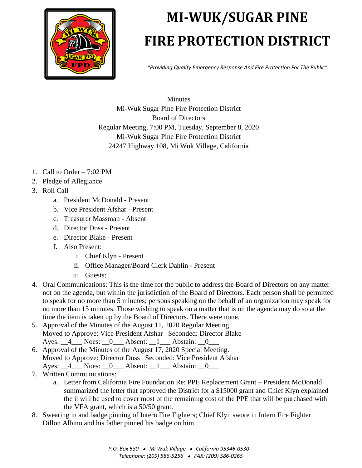

## **MI-WUK/SUGAR PINE FIRE PROTECTION DISTRICT**

*"Providing Quality Emergency Response And Fire Protection For The Public"* \_\_\_\_\_\_\_\_\_\_\_\_\_\_\_\_\_\_\_\_\_\_\_\_\_\_\_\_\_\_\_\_\_\_\_\_\_\_\_\_\_\_\_\_\_\_\_\_\_\_\_\_\_\_\_\_\_\_\_

Minutes Mi-Wuk Sugar Pine Fire Protection District Board of Directors Regular Meeting, 7:00 PM, Tuesday, September 8, 2020 Mi-Wuk Sugar Pine Fire Protection District 24247 Highway 108, Mi Wuk Village, California

- 1. Call to Order 7:02 PM
- 2. Pledge of Allegiance
- 3. Roll Call
	- a. President McDonald Present
	- b. Vice President Afshar Present
	- c. Treasurer Massman Absent
	- d. Director Doss Present
	- e. Director Blake Present
	- f. Also Present:
		- i. Chief Klyn Present
		- ii. Office Manager/Board Clerk Dahlin Present
		- iii. Guests: \_\_\_\_\_\_\_\_\_\_\_\_\_\_\_\_\_\_\_\_\_\_\_
- 4. Oral Communications: This is the time for the public to address the Board of Directors on any matter not on the agenda, but within the jurisdiction of the Board of Directors. Each person shall be permitted to speak for no more than 5 minutes; persons speaking on the behalf of an organization may speak for no more than 15 minutes. Those wishing to speak on a matter that is on the agenda may do so at the time the item is taken up by the Board of Directors. There were none.
- 5. Approval of the Minutes of the August 11, 2020 Regular Meeting. Moved to Approve: Vice President Afshar Seconded: Director Blake Ayes: 4 Noes: 0 Absent: 1 Abstain: 0
- 6. Approval of the Minutes of the August 17, 2020 Special Meeting. Moved to Approve: Director Doss Seconded: Vice President Afshar Ayes: <u>4</u> Noes: 0 Absent: 1 Abstain: 0
- 7. Written Communications:
	- a. Letter from California Fire Foundation Re: PPE Replacement Grant President McDonald summarized the letter that approved the District for a \$15000 grant and Chief Klyn explained the it will be used to cover most of the remaining cost of the PPE that will be purchased with the VFA grant, which is a 50/50 grant.
- 8. Swearing in and badge pinning of Intern Fire Fighters; Chief Klyn swore in Intern Fire Fighter Dillon Albino and his father pinned his badge on him.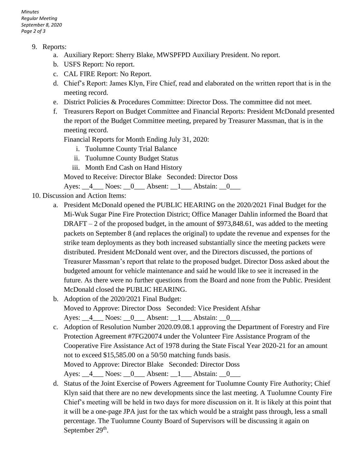*Minutes Regular Meeting September 8, 2020 Page 2 of 3*

- 9. Reports:
	- a. Auxiliary Report: Sherry Blake, MWSPFPD Auxiliary President. No report.
	- b. USFS Report: No report.
	- c. CAL FIRE Report: No Report.
	- d. Chief's Report: James Klyn, Fire Chief, read and elaborated on the written report that is in the meeting record.
	- e. District Policies & Procedures Committee: Director Doss. The committee did not meet.
	- f. Treasurers Report on Budget Committee and Financial Reports: President McDonald presented the report of the Budget Committee meeting, prepared by Treasurer Massman, that is in the meeting record.

Financial Reports for Month Ending July 31, 2020:

- i. Tuolumne County Trial Balance
- ii. Tuolumne County Budget Status
- iii. Month End Cash on Hand History
- Moved to Receive: Director Blake Seconded: Director Doss

Ayes: 4 Noes: 0 Absent: 1 Abstain: 0

- 10. Discussion and Action Items:
	- a. President McDonald opened the PUBLIC HEARING on the 2020/2021 Final Budget for the Mi-Wuk Sugar Pine Fire Protection District; Office Manager Dahlin informed the Board that  $DRAFT - 2$  of the proposed budget, in the amount of \$973,848.61, was added to the meeting packets on September 8 (and replaces the original) to update the revenue and expenses for the strike team deployments as they both increased substantially since the meeting packets were distributed. President McDonald went over, and the Directors discussed, the portions of Treasurer Massman's report that relate to the proposed budget. Director Doss asked about the budgeted amount for vehicle maintenance and said he would like to see it increased in the future. As there were no further questions from the Board and none from the Public. President McDonald closed the PUBLIC HEARING.
	- b. Adoption of the 2020/2021 Final Budget: Moved to Approve: Director Doss Seconded: Vice President Afshar Ayes: <u>4</u> Noes: 0 Absent: 1 Abstain: 0
	- c. Adoption of Resolution Number 2020.09.08.1 approving the Department of Forestry and Fire Protection Agreement #7FG20074 under the Volunteer Fire Assistance Program of the Cooperative Fire Assistance Act of 1978 during the State Fiscal Year 2020-21 for an amount not to exceed \$15,585.00 on a 50/50 matching funds basis. Moved to Approve: Director Blake Seconded: Director Doss Ayes: 4 Noes: 0 Absent: 1 Abstain: 0
	- d. Status of the Joint Exercise of Powers Agreement for Tuolumne County Fire Authority; Chief Klyn said that there are no new developments since the last meeting. A Tuolumne County Fire Chief's meeting will be held in two days for more discussion on it. It is likely at this point that it will be a one-page JPA just for the tax which would be a straight pass through, less a small percentage. The Tuolumne County Board of Supervisors will be discussing it again on September 29<sup>th</sup>.